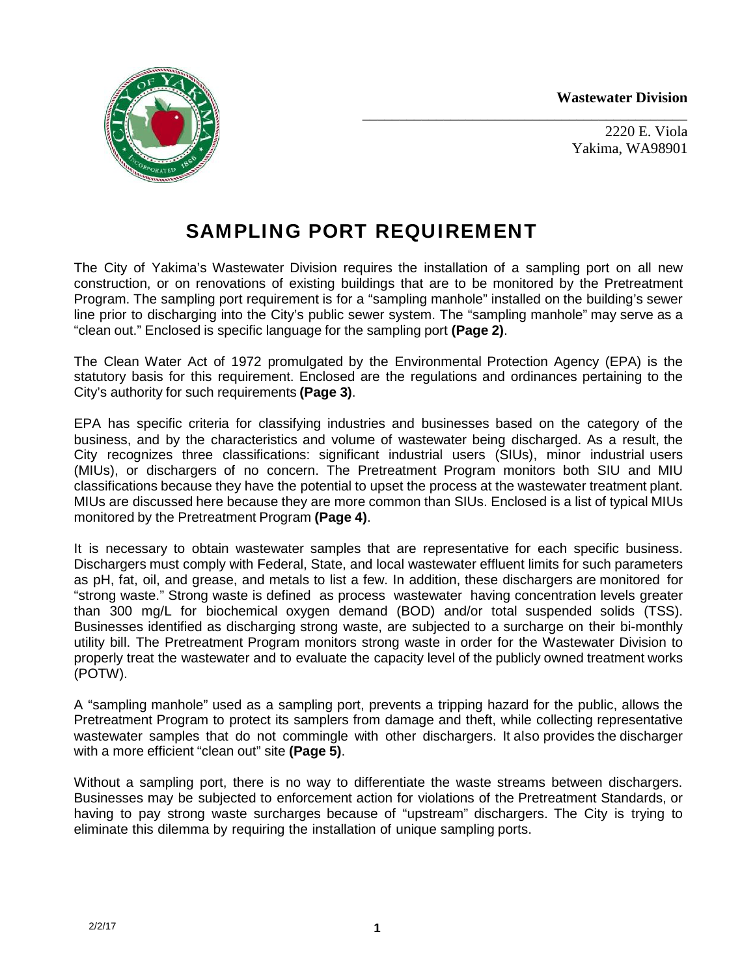**Wastewater Division**

\_\_\_\_\_\_\_\_\_\_\_\_\_\_\_\_\_\_\_\_\_\_\_\_\_\_\_\_\_\_\_\_\_\_\_\_\_\_\_\_\_\_\_\_



2220 E. Viola Yakima, WA98901

# **SAMPLING PORT REQUIREMENT**

The City of Yakima's Wastewater Division requires the installation of a sampling port on all new construction, or on renovations of existing buildings that are to be monitored by the Pretreatment Program. The sampling port requirement is for a "sampling manhole" installed on the building's sewer line prior to discharging into the City's public sewer system. The "sampling manhole" may serve as a "clean out." Enclosed is specific language for the sampling port **(Page 2)**.

The Clean Water Act of 1972 promulgated by the Environmental Protection Agency (EPA) is the statutory basis for this requirement. Enclosed are the regulations and ordinances pertaining to the City's authority for such requirements **(Page 3)**.

EPA has specific criteria for classifying industries and businesses based on the category of the business, and by the characteristics and volume of wastewater being discharged. As a result, the City recognizes three classifications: significant industrial users (SIUs), minor industrial users (MIUs), or dischargers of no concern. The Pretreatment Program monitors both SIU and MIU classifications because they have the potential to upset the process at the wastewater treatment plant. MIUs are discussed here because they are more common than SIUs. Enclosed is a list of typical MIUs monitored by the Pretreatment Program **(Page 4)**.

It is necessary to obtain wastewater samples that are representative for each specific business. Dischargers must comply with Federal, State, and local wastewater effluent limits for such parameters as pH, fat, oil, and grease, and metals to list a few. In addition, these dischargers are monitored for "strong waste." Strong waste is defined as process wastewater having concentration levels greater than 300 mg/L for biochemical oxygen demand (BOD) and/or total suspended solids (TSS). Businesses identified as discharging strong waste, are subjected to a surcharge on their bi-monthly utility bill. The Pretreatment Program monitors strong waste in order for the Wastewater Division to properly treat the wastewater and to evaluate the capacity level of the publicly owned treatment works (POTW).

A "sampling manhole" used as a sampling port, prevents a tripping hazard for the public, allows the Pretreatment Program to protect its samplers from damage and theft, while collecting representative wastewater samples that do not commingle with other dischargers. It also provides the discharger with a more efficient "clean out" site **(Page 5)**.

Without a sampling port, there is no way to differentiate the waste streams between dischargers. Businesses may be subjected to enforcement action for violations of the Pretreatment Standards, or having to pay strong waste surcharges because of "upstream" dischargers. The City is trying to eliminate this dilemma by requiring the installation of unique sampling ports.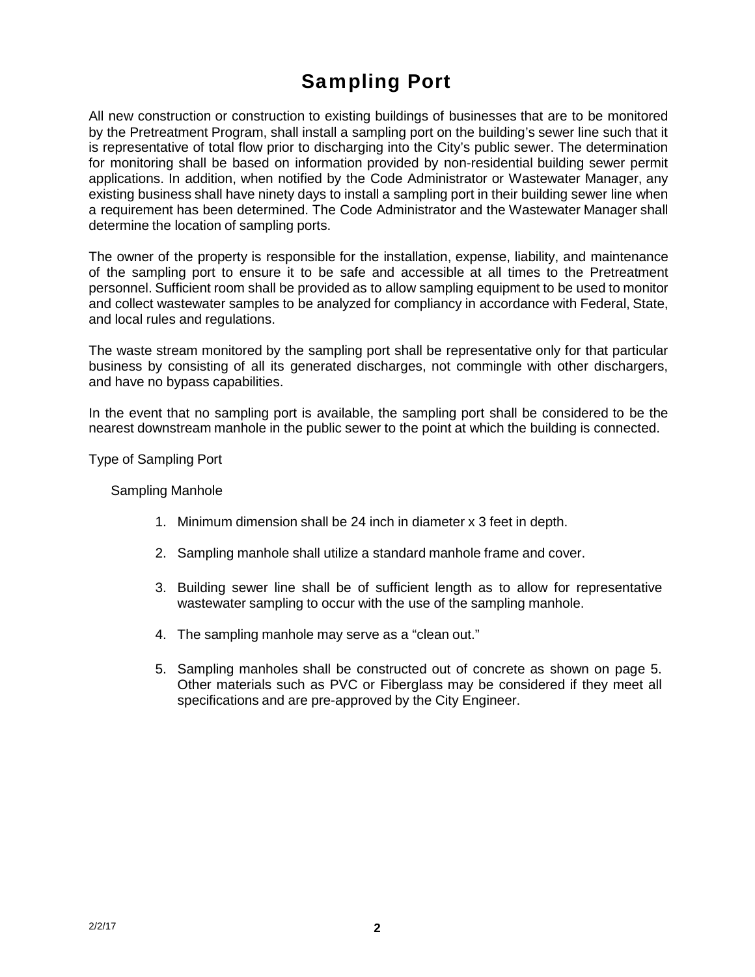# **Sampling Port**

All new construction or construction to existing buildings of businesses that are to be monitored by the Pretreatment Program, shall install a sampling port on the building's sewer line such that it is representative of total flow prior to discharging into the City's public sewer. The determination for monitoring shall be based on information provided by non-residential building sewer permit applications. In addition, when notified by the Code Administrator or Wastewater Manager, any existing business shall have ninety days to install a sampling port in their building sewer line when a requirement has been determined. The Code Administrator and the Wastewater Manager shall determine the location of sampling ports.

The owner of the property is responsible for the installation, expense, liability, and maintenance of the sampling port to ensure it to be safe and accessible at all times to the Pretreatment personnel. Sufficient room shall be provided as to allow sampling equipment to be used to monitor and collect wastewater samples to be analyzed for compliancy in accordance with Federal, State, and local rules and regulations.

The waste stream monitored by the sampling port shall be representative only for that particular business by consisting of all its generated discharges, not commingle with other dischargers, and have no bypass capabilities.

In the event that no sampling port is available, the sampling port shall be considered to be the nearest downstream manhole in the public sewer to the point at which the building is connected.

Type of Sampling Port

### Sampling Manhole

- 1. Minimum dimension shall be 24 inch in diameter x 3 feet in depth.
- 2. Sampling manhole shall utilize a standard manhole frame and cover.
- 3. Building sewer line shall be of sufficient length as to allow for representative wastewater sampling to occur with the use of the sampling manhole.
- 4. The sampling manhole may serve as a "clean out."
- 5. Sampling manholes shall be constructed out of concrete as shown on page 5. Other materials such as PVC or Fiberglass may be considered if they meet all specifications and are pre-approved by the City Engineer.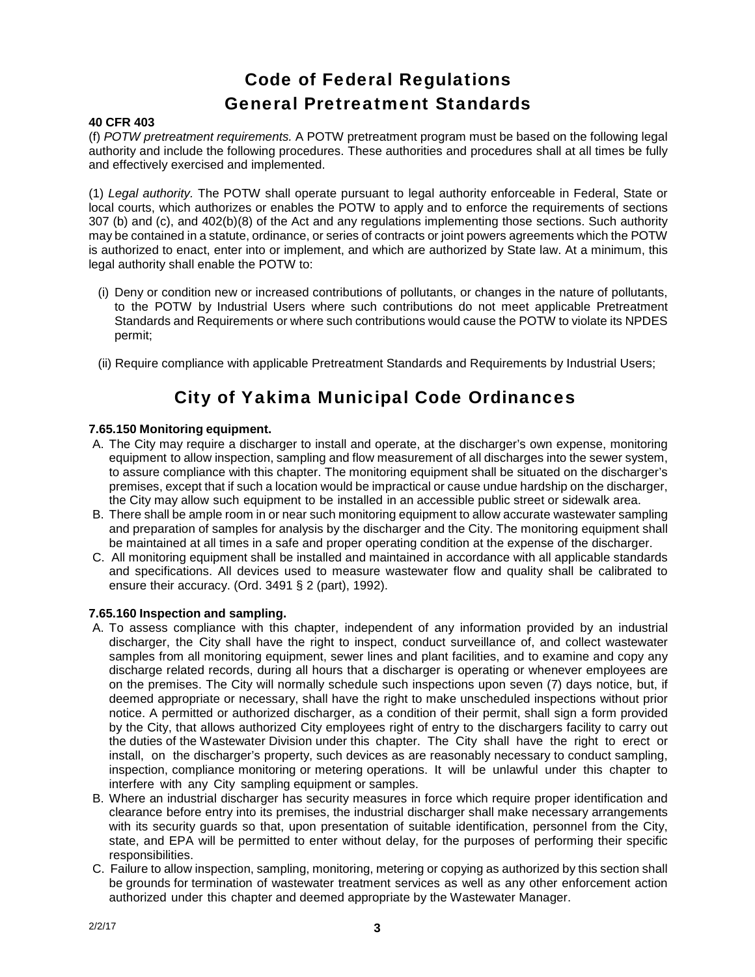## **Code of Federal Regulations General Pretreatment Standards**

## **40 CFR 403**

(f) *POTW pretreatment requirements.* A POTW pretreatment program must be based on the following legal authority and include the following procedures. These authorities and procedures shall at all times be fully and effectively exercised and implemented.

(1) *Legal authority.* The POTW shall operate pursuant to legal authority enforceable in Federal, State or local courts, which authorizes or enables the POTW to apply and to enforce the requirements of sections 307 (b) and (c), and 402(b)(8) of the Act and any regulations implementing those sections. Such authority may be contained in a statute, ordinance, or series of contracts or joint powers agreements which the POTW is authorized to enact, enter into or implement, and which are authorized by State law. At a minimum, this legal authority shall enable the POTW to:

- (i) Deny or condition new or increased contributions of pollutants, or changes in the nature of pollutants, to the POTW by Industrial Users where such contributions do not meet applicable Pretreatment Standards and Requirements or where such contributions would cause the POTW to violate its NPDES permit;
- (ii) Require compliance with applicable Pretreatment Standards and Requirements by Industrial Users;

## **City of Yakima Municipal Code Ordinances**

## **7.65.150 Monitoring equipment.**

- A. The City may require a discharger to install and operate, at the discharger's own expense, monitoring equipment to allow inspection, sampling and flow measurement of all discharges into the sewer system, to assure compliance with this chapter. The monitoring equipment shall be situated on the discharger's premises, except that if such a location would be impractical or cause undue hardship on the discharger, the City may allow such equipment to be installed in an accessible public street or sidewalk area.
- B. There shall be ample room in or near such monitoring equipment to allow accurate wastewater sampling and preparation of samples for analysis by the discharger and the City. The monitoring equipment shall be maintained at all times in a safe and proper operating condition at the expense of the discharger.
- C. All monitoring equipment shall be installed and maintained in accordance with all applicable standards and specifications. All devices used to measure wastewater flow and quality shall be calibrated to ensure their accuracy. (Ord. 3491 § 2 (part), 1992).

## **7.65.160 Inspection and sampling.**

- A. To assess compliance with this chapter, independent of any information provided by an industrial discharger, the City shall have the right to inspect, conduct surveillance of, and collect wastewater samples from all monitoring equipment, sewer lines and plant facilities, and to examine and copy any discharge related records, during all hours that a discharger is operating or whenever employees are on the premises. The City will normally schedule such inspections upon seven (7) days notice, but, if deemed appropriate or necessary, shall have the right to make unscheduled inspections without prior notice. A permitted or authorized discharger, as a condition of their permit, shall sign a form provided by the City, that allows authorized City employees right of entry to the dischargers facility to carry out the duties of the Wastewater Division under this chapter. The City shall have the right to erect or install, on the discharger's property, such devices as are reasonably necessary to conduct sampling, inspection, compliance monitoring or metering operations. It will be unlawful under this chapter to interfere with any City sampling equipment or samples.
- B. Where an industrial discharger has security measures in force which require proper identification and clearance before entry into its premises, the industrial discharger shall make necessary arrangements with its security guards so that, upon presentation of suitable identification, personnel from the City, state, and EPA will be permitted to enter without delay, for the purposes of performing their specific responsibilities.
- C. Failure to allow inspection, sampling, monitoring, metering or copying as authorized by this section shall be grounds for termination of wastewater treatment services as wellas any other enforcement action authorized under this chapter and deemed appropriate by the Wastewater Manager.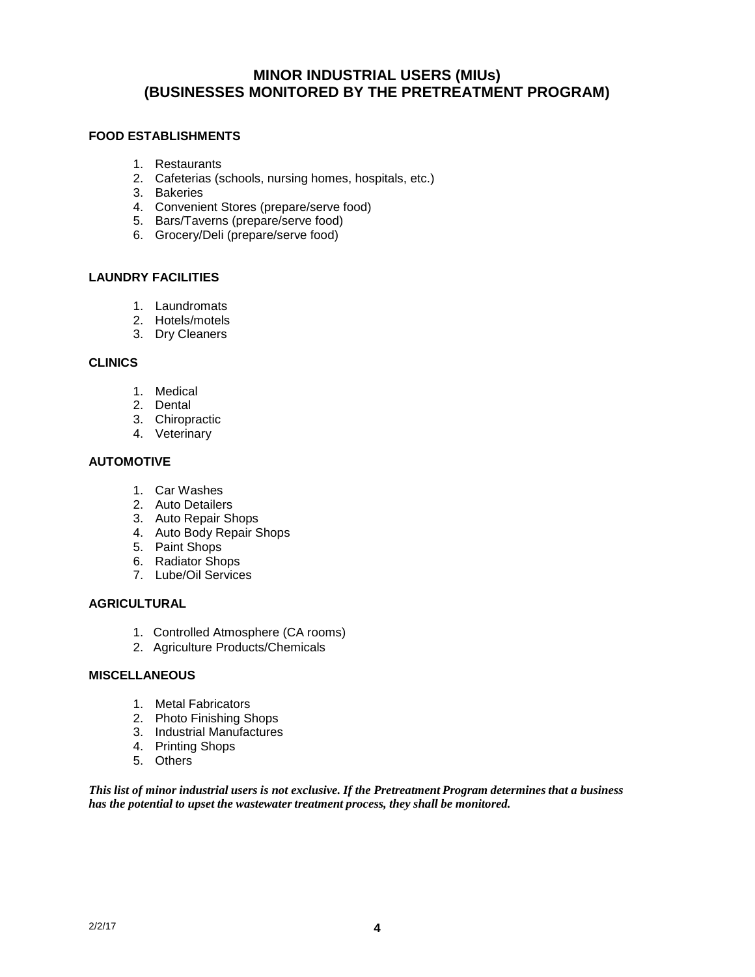## **MINOR INDUSTRIAL USERS (MIUs) (BUSINESSES MONITORED BY THE PRETREATMENT PROGRAM)**

## **FOOD ESTABLISHMENTS**

- 1. Restaurants
- 2. Cafeterias (schools, nursing homes, hospitals, etc.)
- 3. Bakeries
- 4. Convenient Stores (prepare/serve food)
- 5. Bars/Taverns (prepare/serve food)
- 6. Grocery/Deli (prepare/serve food)

## **LAUNDRY FACILITIES**

- 1. Laundromats
- 2. Hotels/motels
- 3. Dry Cleaners

#### **CLINICS**

- 1. Medical
- 2. Dental
- 3. Chiropractic
- 4. Veterinary

## **AUTOMOTIVE**

- 1. Car Washes
- 2. Auto Detailers
- 3. Auto Repair Shops
- 4. Auto Body Repair Shops
- 5. Paint Shops
- 6. Radiator Shops
- 7. Lube/Oil Services

## **AGRICULTURAL**

- 1. Controlled Atmosphere (CA rooms)
- 2. Agriculture Products/Chemicals

#### **MISCELLANEOUS**

- 1. Metal Fabricators
- 2. Photo Finishing Shops
- 3. Industrial Manufactures
- 4. Printing Shops
- 5. Others

*This list of minor industrial users is not exclusive. If the Pretreatment Program determines that a business has the potential to upset the wastewater treatment process, they shall be monitored.*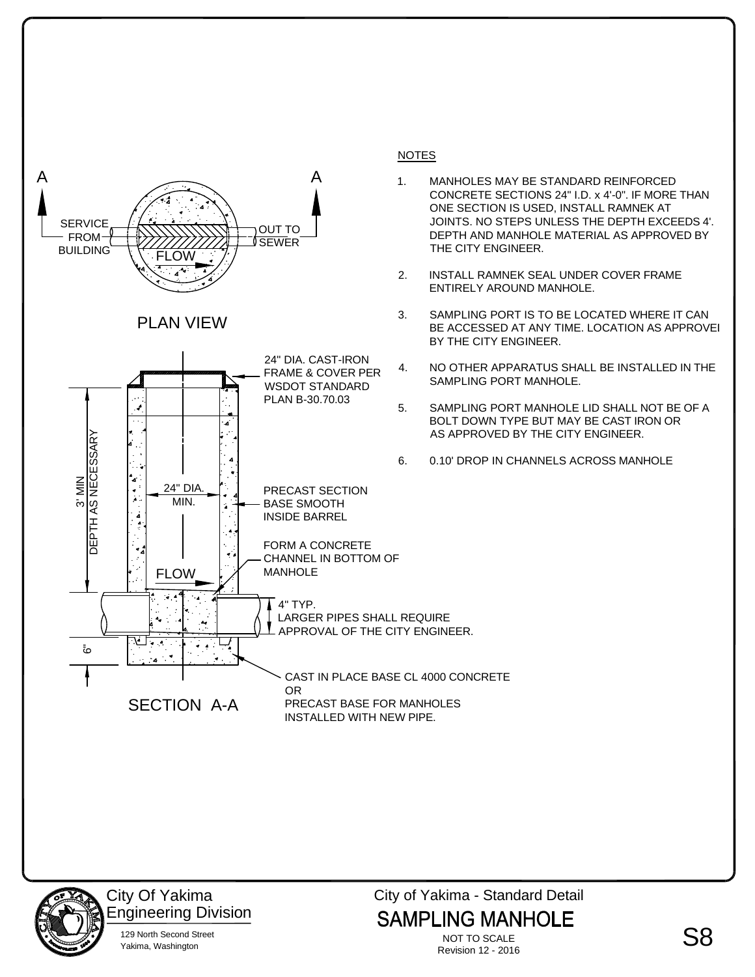



City Of Yakima 129 North Second Street Engineering Division Yakima, Washington

City of Yakima - Standard Detail **SAMPLING MANHOLE** 

NOT TO SCALE Revision 12 - 2016